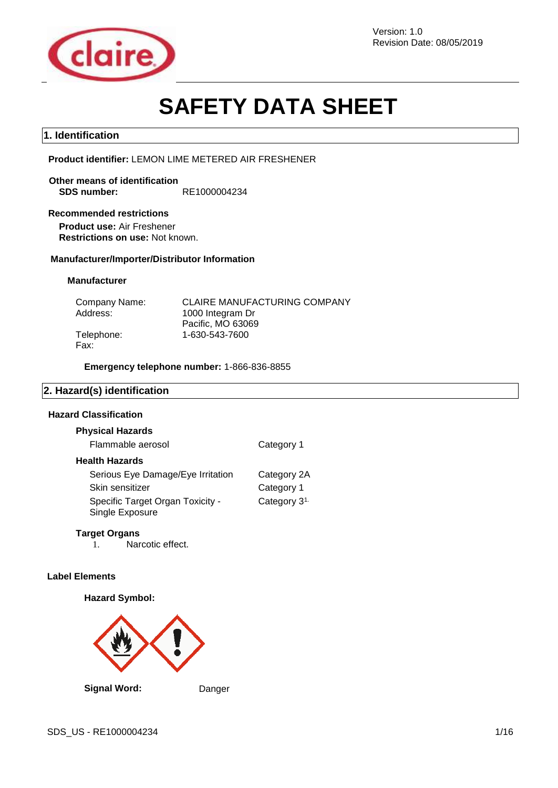

Revision Date: 08/05/2019

# **SAFETY DATA SHEET**

# **1. Identification**

**Product identifier:** LEMON LIME METERED AIR FRESHENER

**Other means of identification SDS number:** RE1000004234

#### **Recommended restrictions**

**Product use:** Air Freshener **Restrictions on use:** Not known.

## **Manufacturer/Importer/Distributor Information**

## **Manufacturer**

| Company Name: | <b>CLAIRE MANUFACTURING COMPANY</b> |
|---------------|-------------------------------------|
| Address:      | 1000 Integram Dr                    |
|               | Pacific, MO 63069                   |
| Telephone:    | 1-630-543-7600                      |
| Fax:          |                                     |

**Emergency telephone number:** 1-866-836-8855

# **2. Hazard(s) identification**

# **Hazard Classification**

| <b>Physical Hazards</b>                             |                          |
|-----------------------------------------------------|--------------------------|
| Flammable aerosol                                   | Category 1               |
| <b>Health Hazards</b>                               |                          |
| Serious Eye Damage/Eye Irritation                   | Category 2A              |
| Skin sensitizer                                     | Category 1               |
| Specific Target Organ Toxicity -<br>Single Exposure | Category 3 <sup>1.</sup> |
|                                                     |                          |

#### **Target Organs**

1. Narcotic effect.

#### **Label Elements**

#### **Hazard Symbol:**

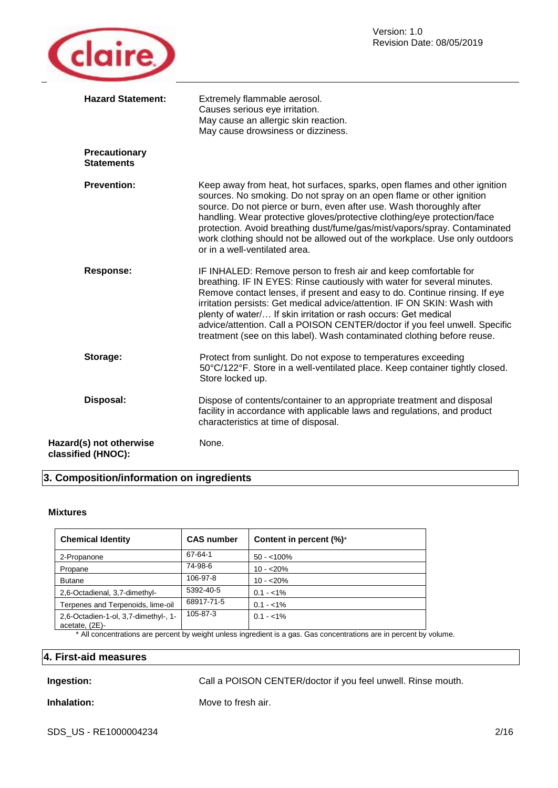

| <b>Hazard Statement:</b>                      | Extremely flammable aerosol.<br>Causes serious eye irritation.<br>May cause an allergic skin reaction.<br>May cause drowsiness or dizziness.                                                                                                                                                                                                                                                                                                                                                                                     |
|-----------------------------------------------|----------------------------------------------------------------------------------------------------------------------------------------------------------------------------------------------------------------------------------------------------------------------------------------------------------------------------------------------------------------------------------------------------------------------------------------------------------------------------------------------------------------------------------|
| <b>Precautionary</b><br><b>Statements</b>     |                                                                                                                                                                                                                                                                                                                                                                                                                                                                                                                                  |
| <b>Prevention:</b>                            | Keep away from heat, hot surfaces, sparks, open flames and other ignition<br>sources. No smoking. Do not spray on an open flame or other ignition<br>source. Do not pierce or burn, even after use. Wash thoroughly after<br>handling. Wear protective gloves/protective clothing/eye protection/face<br>protection. Avoid breathing dust/fume/gas/mist/vapors/spray. Contaminated<br>work clothing should not be allowed out of the workplace. Use only outdoors<br>or in a well-ventilated area.                               |
| <b>Response:</b>                              | IF INHALED: Remove person to fresh air and keep comfortable for<br>breathing. IF IN EYES: Rinse cautiously with water for several minutes.<br>Remove contact lenses, if present and easy to do. Continue rinsing. If eye<br>irritation persists: Get medical advice/attention. IF ON SKIN: Wash with<br>plenty of water/ If skin irritation or rash occurs: Get medical<br>advice/attention. Call a POISON CENTER/doctor if you feel unwell. Specific<br>treatment (see on this label). Wash contaminated clothing before reuse. |
| Storage:                                      | Protect from sunlight. Do not expose to temperatures exceeding<br>50°C/122°F. Store in a well-ventilated place. Keep container tightly closed.<br>Store locked up.                                                                                                                                                                                                                                                                                                                                                               |
| Disposal:                                     | Dispose of contents/container to an appropriate treatment and disposal<br>facility in accordance with applicable laws and regulations, and product<br>characteristics at time of disposal.                                                                                                                                                                                                                                                                                                                                       |
| Hazard(s) not otherwise<br>classified (HNOC): | None.                                                                                                                                                                                                                                                                                                                                                                                                                                                                                                                            |

# **3. Composition/information on ingredients**

#### **Mixtures**

| <b>Chemical Identity</b>                               | <b>CAS number</b> | Content in percent (%)* |
|--------------------------------------------------------|-------------------|-------------------------|
| 2-Propanone                                            | 67-64-1           | $50 - 100\%$            |
| Propane                                                | 74-98-6           | $10 - 20%$              |
| <b>Butane</b>                                          | 106-97-8          | $10 - 20%$              |
| 2,6-Octadienal, 3,7-dimethyl-                          | 5392-40-5         | $0.1 - 1\%$             |
| Terpenes and Terpenoids, lime-oil                      | 68917-71-5        | $0.1 - 1\%$             |
| 2,6-Octadien-1-ol, 3,7-dimethyl-, 1-<br>acetate, (2E)- | 105-87-3          | $0.1 - 1\%$             |

\* All concentrations are percent by weight unless ingredient is a gas. Gas concentrations are in percent by volume.

# **4. First-aid measures**

**Ingestion: Call a POISON CENTER/doctor if you feel unwell. Rinse mouth.** 

**Inhalation:** Move to fresh air.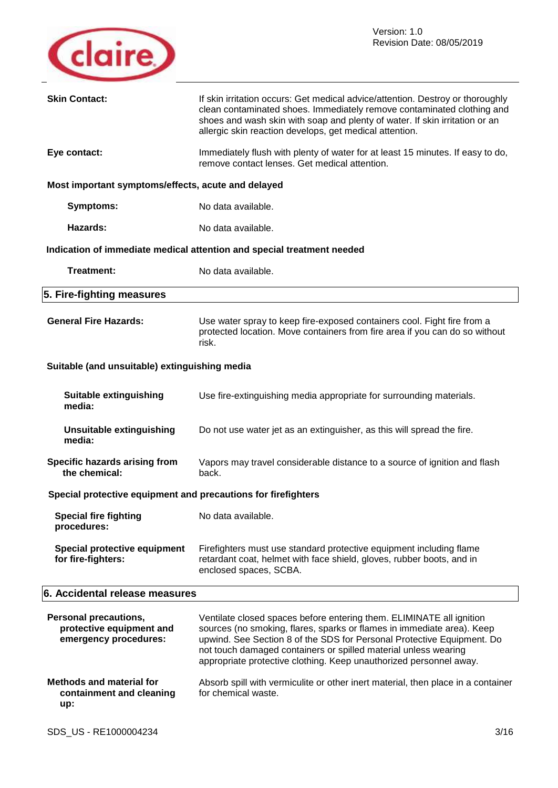

| <b>Skin Contact:</b>                                                              | If skin irritation occurs: Get medical advice/attention. Destroy or thoroughly<br>clean contaminated shoes. Immediately remove contaminated clothing and<br>shoes and wash skin with soap and plenty of water. If skin irritation or an<br>allergic skin reaction develops, get medical attention.                                                                |  |  |
|-----------------------------------------------------------------------------------|-------------------------------------------------------------------------------------------------------------------------------------------------------------------------------------------------------------------------------------------------------------------------------------------------------------------------------------------------------------------|--|--|
| Eye contact:                                                                      | Immediately flush with plenty of water for at least 15 minutes. If easy to do,<br>remove contact lenses. Get medical attention.                                                                                                                                                                                                                                   |  |  |
| Most important symptoms/effects, acute and delayed                                |                                                                                                                                                                                                                                                                                                                                                                   |  |  |
| <b>Symptoms:</b>                                                                  | No data available.                                                                                                                                                                                                                                                                                                                                                |  |  |
| Hazards:                                                                          | No data available.                                                                                                                                                                                                                                                                                                                                                |  |  |
|                                                                                   | Indication of immediate medical attention and special treatment needed                                                                                                                                                                                                                                                                                            |  |  |
| <b>Treatment:</b>                                                                 | No data available.                                                                                                                                                                                                                                                                                                                                                |  |  |
| 5. Fire-fighting measures                                                         |                                                                                                                                                                                                                                                                                                                                                                   |  |  |
| <b>General Fire Hazards:</b>                                                      | Use water spray to keep fire-exposed containers cool. Fight fire from a<br>protected location. Move containers from fire area if you can do so without<br>risk.                                                                                                                                                                                                   |  |  |
| Suitable (and unsuitable) extinguishing media                                     |                                                                                                                                                                                                                                                                                                                                                                   |  |  |
| <b>Suitable extinguishing</b><br>media:                                           | Use fire-extinguishing media appropriate for surrounding materials.                                                                                                                                                                                                                                                                                               |  |  |
| <b>Unsuitable extinguishing</b><br>media:                                         | Do not use water jet as an extinguisher, as this will spread the fire.                                                                                                                                                                                                                                                                                            |  |  |
| Specific hazards arising from<br>the chemical:                                    | Vapors may travel considerable distance to a source of ignition and flash<br>back.                                                                                                                                                                                                                                                                                |  |  |
| Special protective equipment and precautions for firefighters                     |                                                                                                                                                                                                                                                                                                                                                                   |  |  |
| <b>Special fire fighting</b><br>procedures:                                       | No data available.                                                                                                                                                                                                                                                                                                                                                |  |  |
| Special protective equipment<br>for fire-fighters:                                | Firefighters must use standard protective equipment including flame<br>retardant coat, helmet with face shield, gloves, rubber boots, and in<br>enclosed spaces, SCBA.                                                                                                                                                                                            |  |  |
| 6. Accidental release measures                                                    |                                                                                                                                                                                                                                                                                                                                                                   |  |  |
| <b>Personal precautions,</b><br>protective equipment and<br>emergency procedures: | Ventilate closed spaces before entering them. ELIMINATE all ignition<br>sources (no smoking, flares, sparks or flames in immediate area). Keep<br>upwind. See Section 8 of the SDS for Personal Protective Equipment. Do<br>not touch damaged containers or spilled material unless wearing<br>appropriate protective clothing. Keep unauthorized personnel away. |  |  |
| <b>Methods and material for</b><br>containment and cleaning<br>up:                | Absorb spill with vermiculite or other inert material, then place in a container<br>for chemical waste.                                                                                                                                                                                                                                                           |  |  |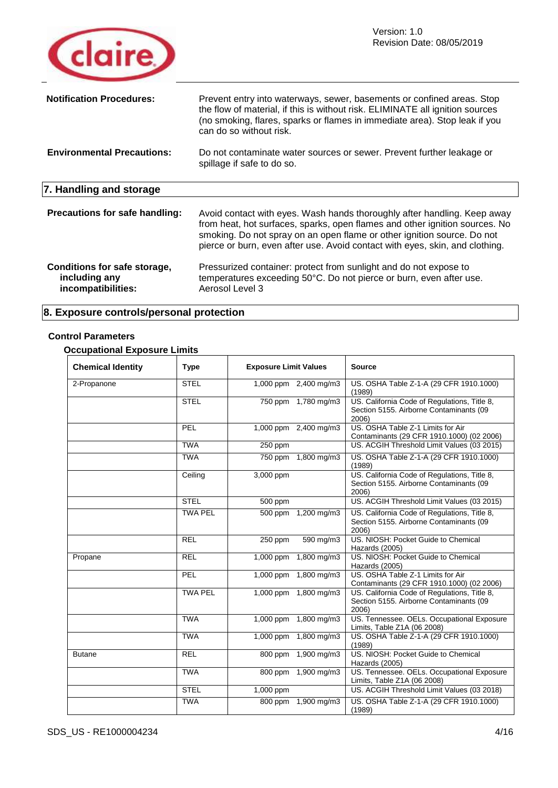

| <b>Notification Procedures:</b><br><b>Environmental Precautions:</b> | Prevent entry into waterways, sewer, basements or confined areas. Stop<br>the flow of material, if this is without risk. ELIMINATE all ignition sources<br>(no smoking, flares, sparks or flames in immediate area). Stop leak if you<br>can do so without risk.<br>Do not contaminate water sources or sewer. Prevent further leakage or<br>spillage if safe to do so. |
|----------------------------------------------------------------------|-------------------------------------------------------------------------------------------------------------------------------------------------------------------------------------------------------------------------------------------------------------------------------------------------------------------------------------------------------------------------|
| 7. Handling and storage                                              |                                                                                                                                                                                                                                                                                                                                                                         |
| Precautions for safe handling:                                       | Avoid contact with eyes. Wash hands thoroughly after handling. Keep away<br>from heat, hot surfaces, sparks, open flames and other ignition sources. No<br>smoking. Do not spray on an open flame or other ignition source. Do not<br>pierce or burn, even after use. Avoid contact with eyes, skin, and clothing.                                                      |
| Conditions for safe storage,<br>including any<br>incompatibilities:  | Pressurized container: protect from sunlight and do not expose to<br>temperatures exceeding 50°C. Do not pierce or burn, even after use.<br>Aerosol Level 3                                                                                                                                                                                                             |

# **8. Exposure controls/personal protection**

# **Control Parameters**

# **Occupational Exposure Limits**

| <b>Chemical Identity</b> | <b>Type</b>    | <b>Exposure Limit Values</b> | <b>Source</b>                                                                                    |
|--------------------------|----------------|------------------------------|--------------------------------------------------------------------------------------------------|
| 2-Propanone              | <b>STEL</b>    | 1,000 ppm 2,400 mg/m3        | US. OSHA Table Z-1-A (29 CFR 1910.1000)<br>(1989)                                                |
|                          | <b>STEL</b>    | 750 ppm 1,780 mg/m3          | US. California Code of Regulations, Title 8,<br>Section 5155. Airborne Contaminants (09<br>2006) |
|                          | PEL            | 1,000 ppm 2,400 mg/m3        | US. OSHA Table Z-1 Limits for Air<br>Contaminants (29 CFR 1910.1000) (02 2006)                   |
|                          | <b>TWA</b>     | $250$ ppm                    | US. ACGIH Threshold Limit Values (03 2015)                                                       |
|                          | <b>TWA</b>     | 750 ppm<br>1,800 mg/m3       | US. OSHA Table Z-1-A (29 CFR 1910.1000)<br>(1989)                                                |
|                          | Ceiling        | 3,000 ppm                    | US. California Code of Regulations, Title 8,<br>Section 5155. Airborne Contaminants (09<br>2006) |
|                          | <b>STEL</b>    | 500 ppm                      | US. ACGIH Threshold Limit Values (03 2015)                                                       |
|                          | <b>TWA PEL</b> | 500 ppm<br>1,200 mg/m3       | US. California Code of Regulations, Title 8,<br>Section 5155. Airborne Contaminants (09<br>2006) |
|                          | <b>REL</b>     | 590 mg/m3<br>250 ppm         | US. NIOSH: Pocket Guide to Chemical<br>Hazards (2005)                                            |
| Propane                  | <b>REL</b>     | $1,000$ ppm<br>1,800 mg/m3   | US. NIOSH: Pocket Guide to Chemical<br>Hazards (2005)                                            |
|                          | PEL            | 1,000 ppm 1,800 mg/m3        | US. OSHA Table Z-1 Limits for Air<br>Contaminants (29 CFR 1910.1000) (02 2006)                   |
|                          | <b>TWA PEL</b> | 1,000 ppm 1,800 mg/m3        | US. California Code of Regulations, Title 8,<br>Section 5155. Airborne Contaminants (09<br>2006) |
|                          | <b>TWA</b>     | 1,000 ppm 1,800 mg/m3        | US. Tennessee. OELs. Occupational Exposure<br>Limits, Table Z1A (06 2008)                        |
|                          | <b>TWA</b>     | 1,000 ppm 1,800 mg/m3        | US. OSHA Table Z-1-A (29 CFR 1910.1000)<br>(1989)                                                |
| <b>Butane</b>            | <b>REL</b>     | 800 ppm 1,900 mg/m3          | US. NIOSH: Pocket Guide to Chemical<br>Hazards (2005)                                            |
|                          | <b>TWA</b>     | 800 ppm 1,900 mg/m3          | US. Tennessee. OELs. Occupational Exposure<br>Limits, Table Z1A (06 2008)                        |
|                          | <b>STEL</b>    | 1,000 ppm                    | US. ACGIH Threshold Limit Values (03 2018)                                                       |
|                          | <b>TWA</b>     | 1,900 mg/m3<br>800 ppm       | US. OSHA Table Z-1-A (29 CFR 1910.1000)<br>(1989)                                                |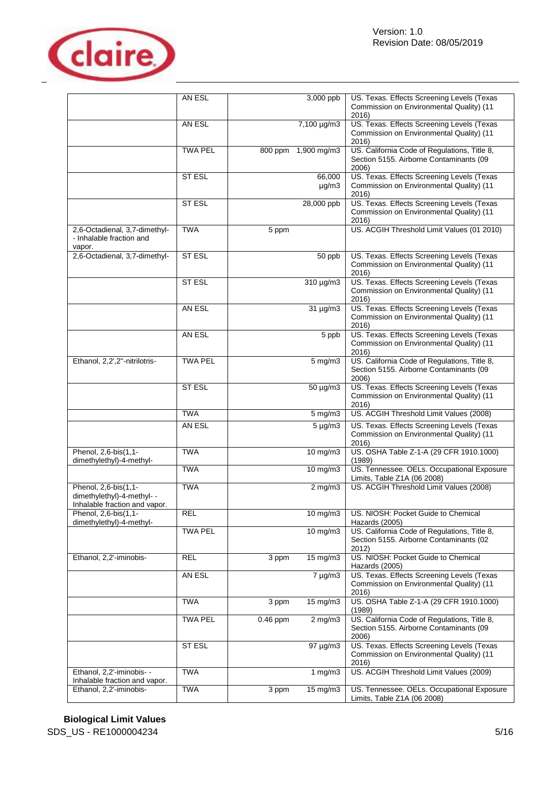

|                                                                                     | AN ESL         |                     | 3,000 ppb                     | US. Texas. Effects Screening Levels (Texas                                                       |
|-------------------------------------------------------------------------------------|----------------|---------------------|-------------------------------|--------------------------------------------------------------------------------------------------|
|                                                                                     |                |                     |                               | Commission on Environmental Quality) (11<br>2016)                                                |
|                                                                                     | AN ESL         |                     | $7,100 \mu g/m3$              | US. Texas. Effects Screening Levels (Texas<br>Commission on Environmental Quality) (11<br>2016)  |
|                                                                                     | <b>TWA PEL</b> | 800 ppm 1,900 mg/m3 |                               | US. California Code of Regulations, Title 8,<br>Section 5155. Airborne Contaminants (09<br>2006) |
|                                                                                     | <b>ST ESL</b>  |                     | 66,000<br>$\mu$ g/m3          | US. Texas. Effects Screening Levels (Texas<br>Commission on Environmental Quality) (11<br>2016)  |
|                                                                                     | ST ESL         |                     | 28,000 ppb                    | US. Texas. Effects Screening Levels (Texas<br>Commission on Environmental Quality) (11<br>2016)  |
| 2,6-Octadienal, 3,7-dimethyl-<br>- Inhalable fraction and<br>vapor.                 | <b>TWA</b>     | 5 ppm               |                               | US. ACGIH Threshold Limit Values (01 2010)                                                       |
| 2,6-Octadienal, 3,7-dimethyl-                                                       | ST ESL         |                     | 50 ppb                        | US. Texas. Effects Screening Levels (Texas<br>Commission on Environmental Quality) (11<br>2016)  |
|                                                                                     | <b>ST ESL</b>  |                     | 310 µg/m3                     | US. Texas. Effects Screening Levels (Texas<br>Commission on Environmental Quality) (11<br>2016)  |
|                                                                                     | AN ESL         |                     | $31 \mu g/m3$                 | US. Texas. Effects Screening Levels (Texas<br>Commission on Environmental Quality) (11<br>2016)  |
|                                                                                     | AN ESL         |                     | 5 ppb                         | US. Texas. Effects Screening Levels (Texas<br>Commission on Environmental Quality) (11<br>2016)  |
| Ethanol, 2,2',2"-nitrilotris-                                                       | <b>TWA PEL</b> |                     | $5 \overline{\mathrm{mg}}$ m3 | US. California Code of Regulations, Title 8,<br>Section 5155. Airborne Contaminants (09<br>2006) |
|                                                                                     | <b>ST ESL</b>  |                     | 50 µg/m3                      | US. Texas. Effects Screening Levels (Texas<br>Commission on Environmental Quality) (11<br>2016)  |
|                                                                                     | <b>TWA</b>     |                     | $5 \text{ mg/m}$ 3            | US. ACGIH Threshold Limit Values (2008)                                                          |
|                                                                                     | AN ESL         |                     | $5 \mu g/m3$                  | US. Texas. Effects Screening Levels (Texas<br>Commission on Environmental Quality) (11<br>2016)  |
| Phenol, 2,6-bis(1,1-<br>dimethylethyl)-4-methyl-                                    | <b>TWA</b>     |                     | $10$ mg/m $3$                 | US. OSHA Table Z-1-A (29 CFR 1910.1000)<br>(1989)                                                |
|                                                                                     | <b>TWA</b>     |                     | $10$ mg/m $3$                 | US. Tennessee. OELs. Occupational Exposure<br>Limits, Table Z1A (06 2008)                        |
| Phenol, 2,6-bis(1,1-<br>dimethylethyl)-4-methyl- -<br>Inhalable fraction and vapor. | <b>TWA</b>     |                     | $2 \overline{\text{mg}}$ /m3  | US. ACGIH Threshold Limit Values (2008)                                                          |
| Phenol, 2,6-bis(1,1-<br>dimethylethyl)-4-methyl-                                    | <b>REL</b>     |                     |                               | 10 mg/m3   US. NIOSH: Pocket Guide to Chemical<br>Hazards (2005)                                 |
|                                                                                     | <b>TWA PEL</b> |                     | 10 mg/m3                      | US. California Code of Regulations, Title 8,<br>Section 5155. Airborne Contaminants (02<br>2012) |
| Ethanol, 2,2'-iminobis-                                                             | <b>REL</b>     | 3 ppm               | $15 \text{ mg/m}$             | US. NIOSH: Pocket Guide to Chemical<br>Hazards (2005)                                            |
|                                                                                     | AN ESL         |                     | $7 \mu g/m3$                  | US. Texas. Effects Screening Levels (Texas<br>Commission on Environmental Quality) (11<br>2016)  |
|                                                                                     | <b>TWA</b>     | 3 ppm               | $15 \,\mathrm{mg/m}$          | US. OSHA Table Z-1-A (29 CFR 1910.1000)<br>(1989)                                                |
|                                                                                     | <b>TWA PEL</b> | $0.46$ ppm          | $2 \,\mathrm{mg/m}$           | US. California Code of Regulations, Title 8,<br>Section 5155. Airborne Contaminants (09<br>2006) |
|                                                                                     | ST ESL         |                     | $97 \mu g/m3$                 | US. Texas. Effects Screening Levels (Texas<br>Commission on Environmental Quality) (11<br>2016)  |
| Ethanol, 2,2'-iminobis- -<br>Inhalable fraction and vapor.                          | <b>TWA</b>     |                     | 1 $mg/m3$                     | US. ACGIH Threshold Limit Values (2009)                                                          |
| Ethanol, 2,2'-iminobis-                                                             | <b>TWA</b>     | 3 ppm               | $15 \text{ mg/m}$             | US. Tennessee. OELs. Occupational Exposure<br>Limits, Table Z1A (06 2008)                        |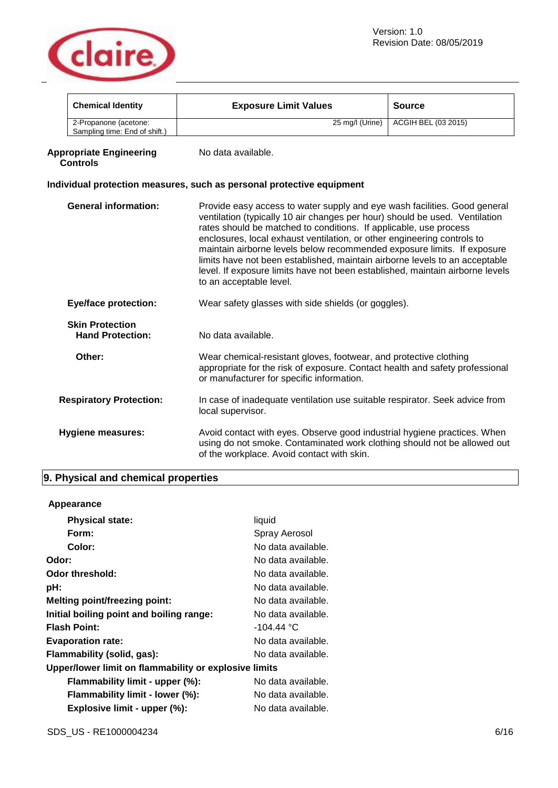

|                                                                                                                                                                                                                                | <b>Chemical Identity</b>                                                                                                                                                                                                                                                                                                                                                                                                                                                                                                                                                                                      | <b>Exposure Limit Values</b>                                                                                                                                                                   | <b>Source</b>       |
|--------------------------------------------------------------------------------------------------------------------------------------------------------------------------------------------------------------------------------|---------------------------------------------------------------------------------------------------------------------------------------------------------------------------------------------------------------------------------------------------------------------------------------------------------------------------------------------------------------------------------------------------------------------------------------------------------------------------------------------------------------------------------------------------------------------------------------------------------------|------------------------------------------------------------------------------------------------------------------------------------------------------------------------------------------------|---------------------|
|                                                                                                                                                                                                                                | 2-Propanone (acetone:<br>Sampling time: End of shift.)                                                                                                                                                                                                                                                                                                                                                                                                                                                                                                                                                        | 25 mg/l (Urine)                                                                                                                                                                                | ACGIH BEL (03 2015) |
|                                                                                                                                                                                                                                | <b>Appropriate Engineering</b><br><b>Controls</b>                                                                                                                                                                                                                                                                                                                                                                                                                                                                                                                                                             | No data available.                                                                                                                                                                             |                     |
|                                                                                                                                                                                                                                |                                                                                                                                                                                                                                                                                                                                                                                                                                                                                                                                                                                                               | Individual protection measures, such as personal protective equipment                                                                                                                          |                     |
|                                                                                                                                                                                                                                | <b>General information:</b><br>Provide easy access to water supply and eye wash facilities. Good general<br>ventilation (typically 10 air changes per hour) should be used. Ventilation<br>rates should be matched to conditions. If applicable, use process<br>enclosures, local exhaust ventilation, or other engineering controls to<br>maintain airborne levels below recommended exposure limits. If exposure<br>limits have not been established, maintain airborne levels to an acceptable<br>level. If exposure limits have not been established, maintain airborne levels<br>to an acceptable level. |                                                                                                                                                                                                |                     |
|                                                                                                                                                                                                                                | <b>Eye/face protection:</b>                                                                                                                                                                                                                                                                                                                                                                                                                                                                                                                                                                                   | Wear safety glasses with side shields (or goggles).                                                                                                                                            |                     |
|                                                                                                                                                                                                                                | <b>Skin Protection</b><br><b>Hand Protection:</b>                                                                                                                                                                                                                                                                                                                                                                                                                                                                                                                                                             | No data available.                                                                                                                                                                             |                     |
|                                                                                                                                                                                                                                | Other:                                                                                                                                                                                                                                                                                                                                                                                                                                                                                                                                                                                                        | Wear chemical-resistant gloves, footwear, and protective clothing<br>appropriate for the risk of exposure. Contact health and safety professional<br>or manufacturer for specific information. |                     |
|                                                                                                                                                                                                                                | <b>Respiratory Protection:</b>                                                                                                                                                                                                                                                                                                                                                                                                                                                                                                                                                                                | In case of inadequate ventilation use suitable respirator. Seek advice from<br>local supervisor.                                                                                               |                     |
| Avoid contact with eyes. Observe good industrial hygiene practices. When<br><b>Hygiene measures:</b><br>using do not smoke. Contaminated work clothing should not be allowed out<br>of the workplace. Avoid contact with skin. |                                                                                                                                                                                                                                                                                                                                                                                                                                                                                                                                                                                                               |                                                                                                                                                                                                |                     |

# **9. Physical and chemical properties**

# **Appearance**

| <b>Physical state:</b>                                | liquid             |
|-------------------------------------------------------|--------------------|
| Form:                                                 | Spray Aerosol      |
| Color:                                                | No data available. |
| Odor:                                                 | No data available. |
| Odor threshold:                                       | No data available. |
| pH:                                                   | No data available. |
| <b>Melting point/freezing point:</b>                  | No data available. |
| Initial boiling point and boiling range:              | No data available. |
| <b>Flash Point:</b>                                   | $-104.44 °C$       |
| <b>Evaporation rate:</b>                              | No data available. |
| Flammability (solid, gas):                            | No data available. |
| Upper/lower limit on flammability or explosive limits |                    |
| Flammability limit - upper (%):                       | No data available. |
| Flammability limit - lower (%):                       | No data available. |
| Explosive limit - upper (%):                          | No data available. |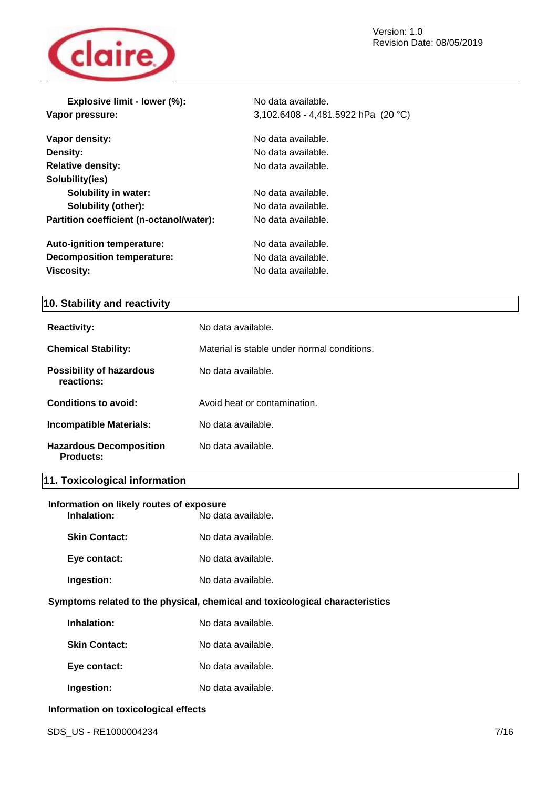Revision Date: 08/05/2019



| Explosive limit - lower (%):             | No data available.                    |
|------------------------------------------|---------------------------------------|
| Vapor pressure:                          | 3,102.6408 - 4,481.5922 hPa $(20 °C)$ |
| Vapor density:                           | No data available.                    |
| Density:                                 | No data available.                    |
| <b>Relative density:</b>                 | No data available.                    |
| Solubility(ies)                          |                                       |
| <b>Solubility in water:</b>              | No data available.                    |
| <b>Solubility (other):</b>               | No data available.                    |
| Partition coefficient (n-octanol/water): | No data available.                    |
| <b>Auto-ignition temperature:</b>        | No data available.                    |
| <b>Decomposition temperature:</b>        | No data available.                    |
| <b>Viscosity:</b>                        | No data available.                    |

# **10. Stability and reactivity**

| <b>Reactivity:</b>                            | No data available.                          |
|-----------------------------------------------|---------------------------------------------|
| <b>Chemical Stability:</b>                    | Material is stable under normal conditions. |
| <b>Possibility of hazardous</b><br>reactions: | No data available.                          |
| Conditions to avoid:                          | Avoid heat or contamination.                |
| <b>Incompatible Materials:</b>                | No data available.                          |
| <b>Hazardous Decomposition</b><br>Products:   | No data available.                          |

# **11. Toxicological information**

| Information on likely routes of exposure |                    |
|------------------------------------------|--------------------|
| Inhalation:                              | No data available. |

| <b>Skin Contact:</b> | No data available. |
|----------------------|--------------------|
| Eye contact:         | No data available. |
| Ingestion:           | No data available. |
|                      |                    |

# **Symptoms related to the physical, chemical and toxicological characteristics**

| Inhalation:          | No data available. |
|----------------------|--------------------|
| <b>Skin Contact:</b> | No data available. |
| Eye contact:         | No data available. |

**Ingestion:** No data available.

# **Information on toxicological effects**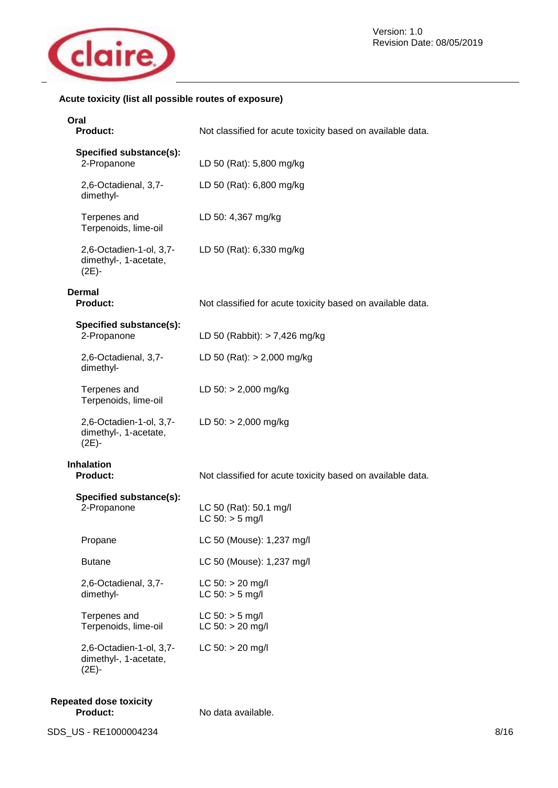

# **Acute toxicity (list all possible routes of exposure)**

| Oral<br><b>Product:</b>                                      | Not classified for acute toxicity based on available data. |  |
|--------------------------------------------------------------|------------------------------------------------------------|--|
| Specified substance(s):<br>2-Propanone                       | LD 50 (Rat): 5,800 mg/kg                                   |  |
| 2,6-Octadienal, 3,7-<br>dimethyl-                            | LD 50 (Rat): 6,800 mg/kg                                   |  |
| Terpenes and<br>Terpenoids, lime-oil                         | LD 50: 4,367 mg/kg                                         |  |
| 2,6-Octadien-1-ol, 3,7-<br>dimethyl-, 1-acetate,<br>$(2E)$ - | LD 50 (Rat): 6,330 mg/kg                                   |  |
| <b>Dermal</b><br><b>Product:</b>                             | Not classified for acute toxicity based on available data. |  |
| Specified substance(s):<br>2-Propanone                       | LD 50 (Rabbit): $> 7,426$ mg/kg                            |  |
| 2,6-Octadienal, 3,7-<br>dimethyl-                            | LD 50 (Rat): $> 2,000$ mg/kg                               |  |
| Terpenes and<br>Terpenoids, lime-oil                         | LD $50:$ > 2,000 mg/kg                                     |  |
| 2,6-Octadien-1-ol, 3,7-<br>dimethyl-, 1-acetate,<br>$(2E) -$ | LD $50:$ > 2,000 mg/kg                                     |  |
| <b>Inhalation</b><br><b>Product:</b>                         | Not classified for acute toxicity based on available data. |  |
| Specified substance(s):<br>2-Propanone                       | LC 50 (Rat): 50.1 mg/l<br>$LC 50:$ > 5 mg/l                |  |
| Propane                                                      | LC 50 (Mouse): 1,237 mg/l                                  |  |
| <b>Butane</b>                                                | LC 50 (Mouse): 1,237 mg/l                                  |  |
| 2,6-Octadienal, 3,7-<br>dimethyl-                            | $LC 50: > 20$ mg/l<br>$LC 50:$ > 5 mg/l                    |  |
| Terpenes and<br>Terpenoids, lime-oil                         | $LC 50:$ > 5 mg/l<br>$LC$ 50: $>$ 20 mg/l                  |  |
| 2,6-Octadien-1-ol, 3,7-<br>dimethyl-, 1-acetate,<br>$(2E)$ - | $LC 50: > 20$ mg/l                                         |  |
| <b>Repeated dose toxicity</b><br><b>Product:</b>             | No data available.                                         |  |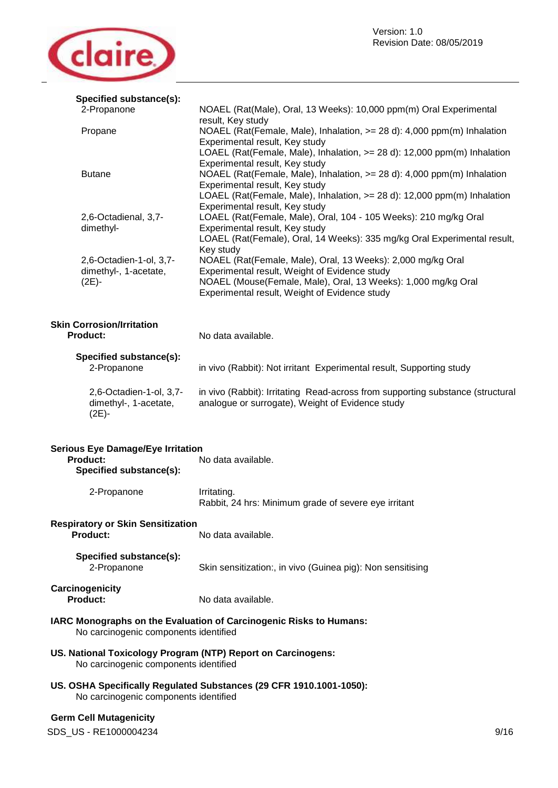

| Specified substance(s):                                                                                      |                                                                                                                                |  |
|--------------------------------------------------------------------------------------------------------------|--------------------------------------------------------------------------------------------------------------------------------|--|
| 2-Propanone                                                                                                  | NOAEL (Rat(Male), Oral, 13 Weeks): 10,000 ppm(m) Oral Experimental                                                             |  |
| Propane                                                                                                      | result, Key study<br>NOAEL (Rat(Female, Male), Inhalation, >= 28 d): 4,000 ppm(m) Inhalation<br>Experimental result, Key study |  |
|                                                                                                              | LOAEL (Rat(Female, Male), Inhalation, >= 28 d): 12,000 ppm(m) Inhalation                                                       |  |
|                                                                                                              | Experimental result, Key study                                                                                                 |  |
| <b>Butane</b>                                                                                                | NOAEL (Rat(Female, Male), Inhalation, >= 28 d): 4,000 ppm(m) Inhalation<br>Experimental result, Key study                      |  |
|                                                                                                              | LOAEL (Rat(Female, Male), Inhalation, >= 28 d): 12,000 ppm(m) Inhalation                                                       |  |
| 2,6-Octadienal, 3,7-                                                                                         | Experimental result, Key study<br>LOAEL (Rat(Female, Male), Oral, 104 - 105 Weeks): 210 mg/kg Oral                             |  |
| dimethyl-                                                                                                    | Experimental result, Key study                                                                                                 |  |
|                                                                                                              | LOAEL (Rat(Female), Oral, 14 Weeks): 335 mg/kg Oral Experimental result,<br>Key study                                          |  |
| 2,6-Octadien-1-ol, 3,7-                                                                                      | NOAEL (Rat(Female, Male), Oral, 13 Weeks): 2,000 mg/kg Oral                                                                    |  |
| dimethyl-, 1-acetate,                                                                                        | Experimental result, Weight of Evidence study                                                                                  |  |
| (2E)-                                                                                                        | NOAEL (Mouse(Female, Male), Oral, 13 Weeks): 1,000 mg/kg Oral<br>Experimental result, Weight of Evidence study                 |  |
|                                                                                                              |                                                                                                                                |  |
| <b>Skin Corrosion/Irritation</b><br><b>Product:</b>                                                          | No data available.                                                                                                             |  |
|                                                                                                              |                                                                                                                                |  |
| Specified substance(s):                                                                                      |                                                                                                                                |  |
| 2-Propanone                                                                                                  | in vivo (Rabbit): Not irritant Experimental result, Supporting study                                                           |  |
| 2,6-Octadien-1-ol, 3,7-                                                                                      | in vivo (Rabbit): Irritating Read-across from supporting substance (structural                                                 |  |
| dimethyl-, 1-acetate,                                                                                        | analogue or surrogate), Weight of Evidence study                                                                               |  |
| $(2E) -$                                                                                                     |                                                                                                                                |  |
| <b>Serious Eye Damage/Eye Irritation</b>                                                                     |                                                                                                                                |  |
| <b>Product:</b>                                                                                              | No data available.                                                                                                             |  |
| Specified substance(s):                                                                                      |                                                                                                                                |  |
| 2-Propanone                                                                                                  | Irritating.                                                                                                                    |  |
|                                                                                                              | Rabbit, 24 hrs: Minimum grade of severe eye irritant                                                                           |  |
| <b>Respiratory or Skin Sensitization</b>                                                                     |                                                                                                                                |  |
| Product:                                                                                                     | No data available.                                                                                                             |  |
| Specified substance(s):                                                                                      |                                                                                                                                |  |
| 2-Propanone                                                                                                  | Skin sensitization:, in vivo (Guinea pig): Non sensitising                                                                     |  |
| Carcinogenicity                                                                                              |                                                                                                                                |  |
| <b>Product:</b>                                                                                              | No data available.                                                                                                             |  |
| IARC Monographs on the Evaluation of Carcinogenic Risks to Humans:<br>No carcinogenic components identified  |                                                                                                                                |  |
| US. National Toxicology Program (NTP) Report on Carcinogens:<br>No carcinogenic components identified        |                                                                                                                                |  |
| US. OSHA Specifically Regulated Substances (29 CFR 1910.1001-1050):<br>No carcinogenic components identified |                                                                                                                                |  |
| <b>Germ Cell Mutagenicity</b>                                                                                |                                                                                                                                |  |
|                                                                                                              |                                                                                                                                |  |

SDS\_US - RE1000004234 9/16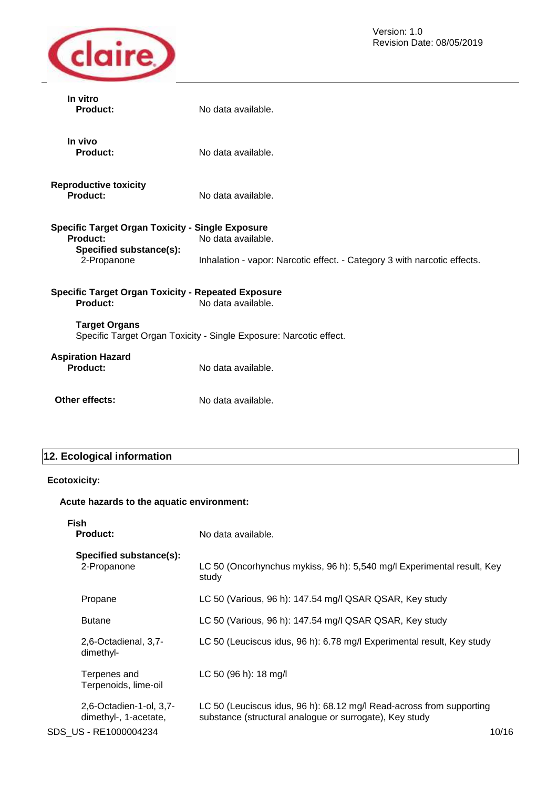

| In vitro<br>Product:                                                                        | No data available.                                                       |  |
|---------------------------------------------------------------------------------------------|--------------------------------------------------------------------------|--|
| In vivo<br><b>Product:</b>                                                                  | No data available.                                                       |  |
| <b>Reproductive toxicity</b><br>Product:                                                    | No data available.                                                       |  |
| <b>Specific Target Organ Toxicity - Single Exposure</b>                                     |                                                                          |  |
| Product:                                                                                    | No data available.                                                       |  |
| Specified substance(s):<br>2-Propanone                                                      | Inhalation - vapor: Narcotic effect. - Category 3 with narcotic effects. |  |
| <b>Specific Target Organ Toxicity - Repeated Exposure</b><br>Product:<br>No data available. |                                                                          |  |
| <b>Target Organs</b><br>Specific Target Organ Toxicity - Single Exposure: Narcotic effect.  |                                                                          |  |
| <b>Aspiration Hazard</b><br>Product:                                                        | No data available.                                                       |  |
| Other effects:                                                                              | No data available.                                                       |  |

# **12. Ecological information**

# **Ecotoxicity:**

# **Acute hazards to the aquatic environment:**

| Fish<br><b>Product:</b>                          | No data available.                                                                                                              |       |
|--------------------------------------------------|---------------------------------------------------------------------------------------------------------------------------------|-------|
| Specified substance(s):<br>2-Propanone           | LC 50 (Oncorhynchus mykiss, 96 h): 5,540 mg/l Experimental result, Key<br>study                                                 |       |
| Propane                                          | LC 50 (Various, 96 h): 147.54 mg/l QSAR QSAR, Key study                                                                         |       |
| <b>Butane</b>                                    | LC 50 (Various, 96 h): 147.54 mg/l QSAR QSAR, Key study                                                                         |       |
| 2,6-Octadienal, 3,7-<br>dimethyl-                | LC 50 (Leuciscus idus, 96 h): 6.78 mg/l Experimental result, Key study                                                          |       |
| Terpenes and<br>Terpenoids, lime-oil             | LC 50 (96 h): 18 mg/l                                                                                                           |       |
| 2,6-Octadien-1-ol, 3,7-<br>dimethyl-, 1-acetate, | LC 50 (Leuciscus idus, 96 h): 68.12 mg/l Read-across from supporting<br>substance (structural analogue or surrogate), Key study |       |
| SDS US - RE1000004234                            |                                                                                                                                 | 10/16 |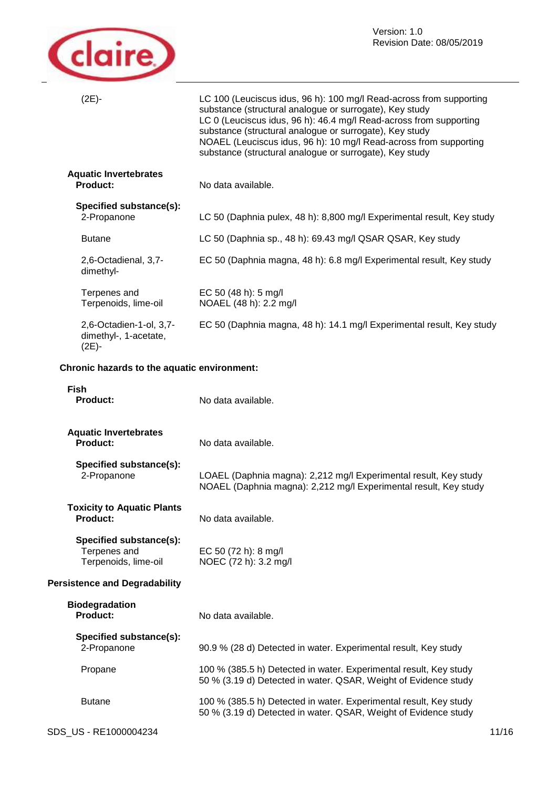

| $(2E) -$                                                        | LC 100 (Leuciscus idus, 96 h): 100 mg/l Read-across from supporting<br>substance (structural analogue or surrogate), Key study<br>LC 0 (Leuciscus idus, 96 h): 46.4 mg/l Read-across from supporting<br>substance (structural analogue or surrogate), Key study<br>NOAEL (Leuciscus idus, 96 h): 10 mg/l Read-across from supporting<br>substance (structural analogue or surrogate), Key study |
|-----------------------------------------------------------------|-------------------------------------------------------------------------------------------------------------------------------------------------------------------------------------------------------------------------------------------------------------------------------------------------------------------------------------------------------------------------------------------------|
| <b>Aquatic Invertebrates</b><br><b>Product:</b>                 | No data available.                                                                                                                                                                                                                                                                                                                                                                              |
| Specified substance(s):<br>2-Propanone                          | LC 50 (Daphnia pulex, 48 h): 8,800 mg/l Experimental result, Key study                                                                                                                                                                                                                                                                                                                          |
| <b>Butane</b>                                                   | LC 50 (Daphnia sp., 48 h): 69.43 mg/l QSAR QSAR, Key study                                                                                                                                                                                                                                                                                                                                      |
| 2,6-Octadienal, 3,7-<br>dimethyl-                               | EC 50 (Daphnia magna, 48 h): 6.8 mg/l Experimental result, Key study                                                                                                                                                                                                                                                                                                                            |
| Terpenes and<br>Terpenoids, lime-oil                            | EC 50 (48 h): 5 mg/l<br>NOAEL (48 h): 2.2 mg/l                                                                                                                                                                                                                                                                                                                                                  |
| 2,6-Octadien-1-ol, 3,7-<br>dimethyl-, 1-acetate,<br>$(2E) -$    | EC 50 (Daphnia magna, 48 h): 14.1 mg/l Experimental result, Key study                                                                                                                                                                                                                                                                                                                           |
| Chronic hazards to the aquatic environment:                     |                                                                                                                                                                                                                                                                                                                                                                                                 |
| <b>Fish</b><br><b>Product:</b>                                  | No data available.                                                                                                                                                                                                                                                                                                                                                                              |
| <b>Aquatic Invertebrates</b><br><b>Product:</b>                 | No data available.                                                                                                                                                                                                                                                                                                                                                                              |
| Specified substance(s):<br>2-Propanone                          | LOAEL (Daphnia magna): 2,212 mg/l Experimental result, Key study<br>NOAEL (Daphnia magna): 2,212 mg/l Experimental result, Key study                                                                                                                                                                                                                                                            |
| <b>Toxicity to Aquatic Plants</b><br><b>Product:</b>            | No data available.                                                                                                                                                                                                                                                                                                                                                                              |
| Specified substance(s):<br>Terpenes and<br>Terpenoids, lime-oil | EC 50 (72 h): 8 mg/l<br>NOEC (72 h): 3.2 mg/l                                                                                                                                                                                                                                                                                                                                                   |
| <b>Persistence and Degradability</b>                            |                                                                                                                                                                                                                                                                                                                                                                                                 |
| <b>Biodegradation</b><br><b>Product:</b>                        | No data available.                                                                                                                                                                                                                                                                                                                                                                              |
| Specified substance(s):<br>2-Propanone                          | 90.9 % (28 d) Detected in water. Experimental result, Key study                                                                                                                                                                                                                                                                                                                                 |

50 % (3.19 d) Detected in water. QSAR, Weight of Evidence study

50 % (3.19 d) Detected in water. QSAR, Weight of Evidence study

Propane 100 % (385.5 h) Detected in water. Experimental result, Key study

Butane 100 % (385.5 h) Detected in water. Experimental result, Key study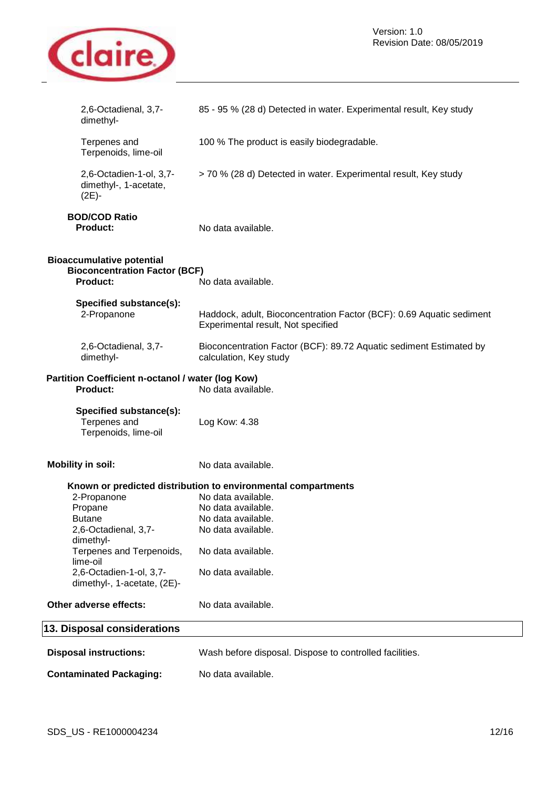

| 2,6-Octadienal, 3,7-<br>dimethyl-                                                           | 85 - 95 % (28 d) Detected in water. Experimental result, Key study                                         |
|---------------------------------------------------------------------------------------------|------------------------------------------------------------------------------------------------------------|
| Terpenes and<br>Terpenoids, lime-oil                                                        | 100 % The product is easily biodegradable.                                                                 |
| 2,6-Octadien-1-ol, 3,7-<br>dimethyl-, 1-acetate,<br>(2E)-                                   | > 70 % (28 d) Detected in water. Experimental result, Key study                                            |
| <b>BOD/COD Ratio</b><br>Product:                                                            | No data available.                                                                                         |
| <b>Bioaccumulative potential</b><br><b>Bioconcentration Factor (BCF)</b><br><b>Product:</b> | No data available.                                                                                         |
| Specified substance(s):<br>2-Propanone                                                      | Haddock, adult, Bioconcentration Factor (BCF): 0.69 Aquatic sediment<br>Experimental result, Not specified |
| 2,6-Octadienal, 3,7-<br>dimethyl-                                                           | Bioconcentration Factor (BCF): 89.72 Aquatic sediment Estimated by<br>calculation, Key study               |
| Partition Coefficient n-octanol / water (log Kow)<br><b>Product:</b>                        | No data available.                                                                                         |
| Specified substance(s):<br>Terpenes and<br>Terpenoids, lime-oil                             | Log Kow: 4.38                                                                                              |
| <b>Mobility in soil:</b>                                                                    | No data available.                                                                                         |
|                                                                                             | Known or predicted distribution to environmental compartments                                              |
| 2-Propanone                                                                                 | No data available.                                                                                         |
| Propane                                                                                     | No data available.                                                                                         |
| <b>Butane</b>                                                                               | No data available.                                                                                         |
| 2,6-Octadienal, 3,7-<br>dimethyl-                                                           | No data available.                                                                                         |
| Terpenes and Terpenoids,<br>lime-oil                                                        | No data available.                                                                                         |
| 2,6-Octadien-1-ol, 3,7-<br>dimethyl-, 1-acetate, (2E)-                                      | No data available.                                                                                         |
| Other adverse effects:                                                                      | No data available.                                                                                         |
| 13. Disposal considerations                                                                 |                                                                                                            |
| <b>Disposal instructions:</b>                                                               | Wash before disposal. Dispose to controlled facilities.                                                    |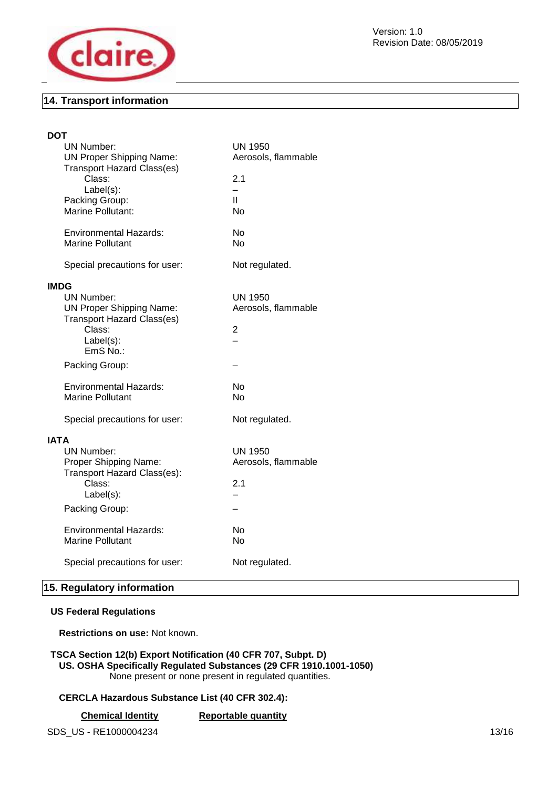

# **14. Transport information**

| DOT         |                                             |                          |
|-------------|---------------------------------------------|--------------------------|
|             | <b>UN Number:</b>                           | <b>UN 1950</b>           |
|             | <b>UN Proper Shipping Name:</b>             | Aerosols, flammable      |
|             | <b>Transport Hazard Class(es)</b>           |                          |
|             | Class:                                      | 2.1                      |
|             | Label(s):                                   |                          |
|             | Packing Group:                              | Ш                        |
|             | <b>Marine Pollutant:</b>                    | No                       |
|             | Environmental Hazards:                      | No                       |
|             | Marine Pollutant                            | No.                      |
|             |                                             |                          |
|             | Special precautions for user:               | Not regulated.           |
| <b>IMDG</b> |                                             |                          |
|             | UN Number:                                  | UN 1950                  |
|             | <b>UN Proper Shipping Name:</b>             | Aerosols, flammable      |
|             | <b>Transport Hazard Class(es)</b><br>Class: | 2                        |
|             | $Label(s)$ :                                |                          |
|             | EmS No.:                                    |                          |
|             | Packing Group:                              |                          |
|             |                                             |                          |
|             | <b>Environmental Hazards:</b>               | No                       |
|             | Marine Pollutant                            | No.                      |
|             | Special precautions for user:               | Not regulated.           |
| <b>IATA</b> |                                             |                          |
|             | <b>UN Number:</b>                           | <b>UN 1950</b>           |
|             | Proper Shipping Name:                       | Aerosols, flammable      |
|             | Transport Hazard Class(es):                 |                          |
|             | Class:                                      | 2.1                      |
|             | Label(s):                                   | $\overline{\phantom{0}}$ |
|             | Packing Group:                              |                          |
|             |                                             |                          |
|             | Environmental Hazards:                      | <b>No</b>                |
|             | <b>Marine Pollutant</b>                     | No                       |
|             | Special precautions for user:               | Not regulated.           |
|             |                                             |                          |

# **15. Regulatory information**

# **US Federal Regulations**

**Restrictions on use:** Not known.

## **TSCA Section 12(b) Export Notification (40 CFR 707, Subpt. D) US. OSHA Specifically Regulated Substances (29 CFR 1910.1001-1050)**  None present or none present in regulated quantities.

# **CERCLA Hazardous Substance List (40 CFR 302.4):**

**Chemical Identity Reportable quantity** 

SDS\_US - RE1000004234 13/16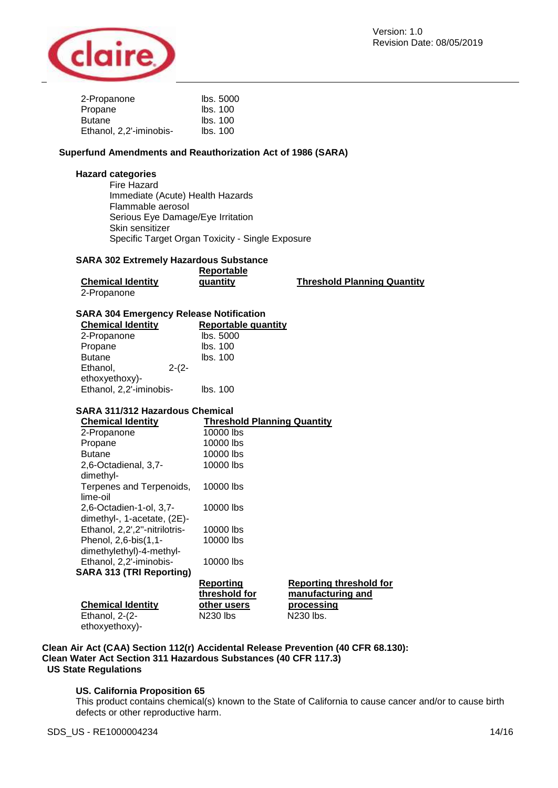

| 2-Propanone             | lbs. 5000 |
|-------------------------|-----------|
| Propane                 | Ibs. 100  |
| <b>Butane</b>           | Ibs. 100  |
| Ethanol, 2,2'-iminobis- | Ibs. 100  |

# **Superfund Amendments and Reauthorization Act of 1986 (SARA)**

## **Hazard categories**

Fire Hazard Immediate (Acute) Health Hazards Flammable aerosol Serious Eye Damage/Eye Irritation Skin sensitizer Specific Target Organ Toxicity - Single Exposure

#### **SARA 302 Extremely Hazardous Substance**

|                          | Reportable |                                    |
|--------------------------|------------|------------------------------------|
| <b>Chemical Identity</b> | quantity   | <b>Threshold Planning Quantity</b> |
| 2-Propanone              |            |                                    |

#### **SARA 304 Emergency Release Notification**

| <b>Chemical Identity</b> |         |          | Reportable quantity |
|--------------------------|---------|----------|---------------------|
| 2-Propanone              |         |          | lbs. 5000           |
| Propane                  |         | lbs. 100 |                     |
| <b>Butane</b>            |         | lbs. 100 |                     |
| Ethanol,                 | $2-(2-$ |          |                     |
| ethoxyethoxy)-           |         |          |                     |
| Ethanol, 2,2'-iminobis-  |         | lbs. 100 |                     |

# **SARA 311/312 Hazardous Chemical**

| <b>Chemical Identity</b>                               | <b>Threshold Planning Quantity</b> |                                                     |
|--------------------------------------------------------|------------------------------------|-----------------------------------------------------|
| 2-Propanone                                            | 10000 lbs                          |                                                     |
| Propane                                                | 10000 lbs                          |                                                     |
| <b>Butane</b>                                          | 10000 lbs                          |                                                     |
| 2,6-Octadienal, 3,7-<br>dimethyl-                      | 10000 lbs                          |                                                     |
| Terpenes and Terpenoids,<br>lime-oil                   | 10000 lbs                          |                                                     |
| 2,6-Octadien-1-ol, 3,7-<br>dimethyl-, 1-acetate, (2E)- | 10000 lbs                          |                                                     |
| Ethanol, 2,2',2"-nitrilotris-                          | 10000 lbs                          |                                                     |
| Phenol, 2,6-bis(1,1-<br>dimethylethyl)-4-methyl-       | 10000 lbs                          |                                                     |
| Ethanol, 2,2'-iminobis-                                | 10000 lbs                          |                                                     |
| <b>SARA 313 (TRI Reporting)</b>                        |                                    |                                                     |
|                                                        | <b>Reporting</b><br>threshold for  | <b>Reporting threshold for</b><br>manufacturing and |
| <b>Chemical Identity</b>                               | other users                        | processing                                          |
| Ethanol, $2-(2-$                                       | N230 lbs                           | N230 lbs.                                           |

## **Clean Air Act (CAA) Section 112(r) Accidental Release Prevention (40 CFR 68.130): Clean Water Act Section 311 Hazardous Substances (40 CFR 117.3) US State Regulations**

#### **US. California Proposition 65**

This product contains chemical(s) known to the State of California to cause cancer and/or to cause birth defects or other reproductive harm.

ethoxyethoxy)-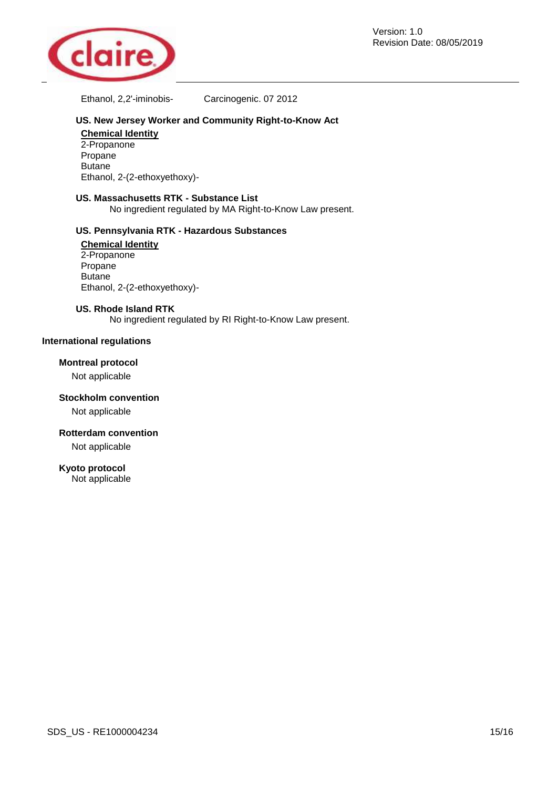

Ethanol, 2,2'-iminobis- Carcinogenic. 07 2012

# **US. New Jersey Worker and Community Right-to-Know Act**

**Chemical Identity**  2-Propanone Propane Butane Ethanol, 2-(2-ethoxyethoxy)-

# **US. Massachusetts RTK - Substance List**

No ingredient regulated by MA Right-to-Know Law present.

# **US. Pennsylvania RTK - Hazardous Substances**

**Chemical Identity**  2-Propanone Propane Butane Ethanol, 2-(2-ethoxyethoxy)-

#### **US. Rhode Island RTK**

No ingredient regulated by RI Right-to-Know Law present.

# **International regulations**

# **Montreal protocol**

Not applicable

**Stockholm convention** 

Not applicable

#### **Rotterdam convention**

Not applicable

# **Kyoto protocol**

Not applicable